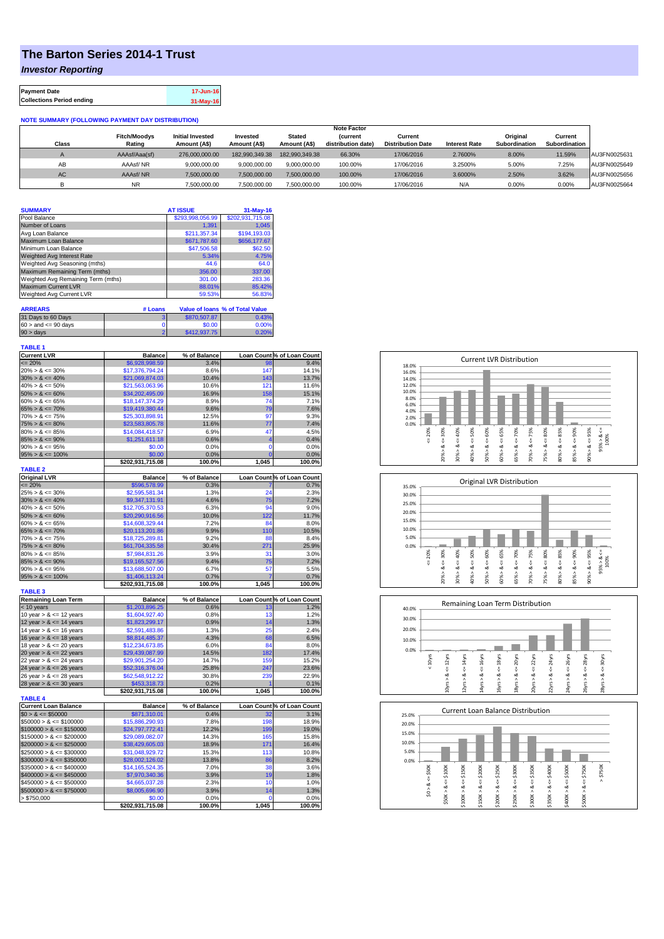## **The Barton Series 2014-1 Trust**

*Investor Reporting*

| <b>Payment Date</b>              | 17-Jun-16 |
|----------------------------------|-----------|
| <b>Collections Period ending</b> | 31-May-16 |

## **NOTE SUMMARY (FOLLOWING PAYMENT DAY DISTRIBUTION)**

|              |                     |                         |                |                | <b>Note Factor</b> |                          |                      |               |               |              |
|--------------|---------------------|-------------------------|----------------|----------------|--------------------|--------------------------|----------------------|---------------|---------------|--------------|
|              | <b>Fitch/Moodys</b> | <b>Initial Invested</b> | Invested       | Stated         | <b>Current</b>     | Current                  |                      | Original      | Current       |              |
| <b>Class</b> | Rating              | Amount (A\$)            | Amount (A\$)   | Amount (A\$)   | distribution date) | <b>Distribution Date</b> | <b>Interest Rate</b> | Subordination | Subordination |              |
|              | AAAsf/Aaa(sf)       | 276,000,000,00          | 182.990.349.38 | 182.990.349.38 | 66.30%             | 17/06/2016               | 2.7600%              | 8.00%         | 11.59%        | AU3FN0025631 |
| AB           | AAAsf/NR            | 9,000,000.00            | 9.000.000.00   | 9.000.000.00   | 100.00%            | 17/06/2016               | 3.2500%              | 5.00%         | 7.25%         | AU3FN0025649 |
| AC.          | AAAsf/NR            | 7,500,000.00            | 7.500.000.00   | 7.500.000.00   | 100.00%            | 17/06/2016               | 3.6000%              | 2.50%         | 3.62%         | AU3FN0025656 |
|              | <b>NR</b>           | ,500,000.00             | 7.500.000.00   | 7,500,000.00   | 100.00%            | 17/06/2016               | N/A                  | 0.00%         | 0.00%         | AU3FN0025664 |

| <b>SUMMARY</b>                     |         | <b>AT ISSUE</b>  | 31-May-16                              |
|------------------------------------|---------|------------------|----------------------------------------|
| Pool Balance                       |         | \$293,998,056.99 | \$202,931,715.08                       |
| Number of Loans                    |         | 1.391            | 1.045                                  |
| Avg Loan Balance                   |         | \$211.357.34     | \$194,193,03                           |
| Maximum Loan Balance               |         | \$671.787.60     | \$656,177.67                           |
| Minimum Loan Balance               |         | \$47,506.58      | \$62.50                                |
| <b>Weighted Avg Interest Rate</b>  |         | 5.34%            | 4.75%                                  |
| Weighted Avg Seasoning (mths)      |         | 44.6             | 64.0                                   |
| Maximum Remaining Term (mths)      |         | 356.00           | 337.00                                 |
| Weighted Avg Remaining Term (mths) |         | 301.00           | 283.36                                 |
| <b>Maximum Current LVR</b>         |         | 88.01%           | 85.42%                                 |
| Weighted Avg Current LVR           |         | 59.53%           | 56.83%                                 |
| <b>ARREARS</b>                     | # Loans |                  | <b>Value of loans % of Total Value</b> |

| 31 Days to 60 Days        | \$870,507.87 | 0.43% |
|---------------------------|--------------|-------|
| $60 >$ and $\leq 90$ days | \$0.00       | 0.00% |
| $90 > \text{days}$        | \$412,937.75 | 0.20% |

| <b>TABLE 1</b>                                          |                                  |              |                               |                            |
|---------------------------------------------------------|----------------------------------|--------------|-------------------------------|----------------------------|
| <b>Current LVR</b>                                      | <b>Balance</b>                   | % of Balance |                               | Loan Count % of Loan Count |
| $= 20%$                                                 | \$6,928,998.59                   | 3.4%         | 98                            | 9.4%                       |
| $20\% > 8 \le 30\%$                                     | \$17,376,794.24                  | 8.6%         | 147                           | 14.1%                      |
| $30\% > 8 \le 40\%$                                     | \$21,069,874.03                  | 10.4%        | 143                           | 13.7%                      |
| $40\% > 8 \le 50\%$                                     | \$21,563,063.96                  | 10.6%        | 121                           | 11.6%                      |
| $50\% > 8 \le 60\%$                                     | \$34,202,495.09                  | 16.9%        | 158                           | 15.1%                      |
| $60\% > 8 \le 65\%$                                     | \$18,147,374.29                  | 8.9%         | 74                            | 7.1%                       |
| $65\% > 8 \le 70\%$                                     | \$19,419,380.44                  | 9.6%         | 79                            | 7.6%                       |
| $70\% > 8 \le 75\%$                                     | \$25,303,898.91                  | 12.5%        | 97                            | 9.3%                       |
| $75\% > 8 \le 80\%$                                     | \$23,583,805.78                  | 11.6%        | 77                            | 7.4%                       |
| $80\% > 8 \le 85\%$                                     | \$14,084,418.57                  | 6.9%         | 47                            | 4.5%                       |
| $85\% > 8 \le 90\%$                                     | \$1,251,611.18                   | 0.6%         | 4                             | 0.4%                       |
| $90\% > 8 \le 95\%$                                     | \$0.00                           | 0.0%         | $\mathbf 0$<br>$\overline{0}$ | 0.0%                       |
| $95\% > 8 \le 100\%$                                    | \$0.00                           | 0.0%         |                               | 0.0%                       |
| <b>TABLE 2</b>                                          | \$202,931,715.08                 | 100.0%       | 1,045                         | 100.0%                     |
| <b>Original LVR</b>                                     | <b>Balance</b>                   | % of Balance |                               | Loan Count % of Loan Count |
| $\leq$ 20%                                              | \$596,578.99                     | 0.3%         |                               | 0.7%                       |
| $25\% > 8 \le 30\%$                                     | \$2,595,581.34                   | 1.3%         | 24                            | 2.3%                       |
| $30\% > 8 \le 40\%$                                     | \$9,347,131.91                   | 4.6%         | 75                            | 7.2%                       |
| $40\% > 8 \le 50\%$                                     | \$12,705,370.53                  | 6.3%         | 94                            | 9.0%                       |
| $50\% > 8 \le 60\%$                                     | \$20,290,916.56                  | 10.0%        | 122                           | 11.7%                      |
| $60\% > 8 \le 65\%$                                     | \$14,608,329.44                  | 7.2%         | 84                            | 8.0%                       |
| $65\% > 8 \le 70\%$                                     | \$20,113,201.86                  | 9.9%         | 110                           | 10.5%                      |
| $70\% > 8 \le 75\%$                                     | \$18,725,289.81                  | 9.2%         | 88                            | 8.4%                       |
| $75\% > 8 \le 80\%$                                     | \$61,704,335.58                  | 30.4%        | 271                           | 25.9%                      |
| $80\% > 8 \le 85\%$                                     | \$7,984,831.26                   | 3.9%         | 31                            | 3.0%                       |
| $85\% > 8 \le 90\%$                                     | \$19,165,527.56                  | 9.4%         | 75                            | 7.2%                       |
| $90\% > 8 \le 95\%$                                     | \$13,688,507.00                  | 6.7%         | 57                            | 5.5%                       |
| $95\% > 8 \le 100\%$                                    | \$1,406,113.24                   | 0.7%         |                               | 0.7%                       |
|                                                         | \$202,931,715.08                 | 100.0%       | 1,045                         | 100.0%                     |
| <b>TABLE 3</b><br><b>Remaining Loan Term</b>            | <b>Balance</b>                   | % of Balance |                               | Loan Count % of Loan Count |
| < 10 years                                              | \$1,203,896.25                   | 0.6%         | 13                            | 1.2%                       |
| 10 year $> 8 \le 12$ years                              | \$1,604,927.40                   | 0.8%         | 13                            | 1.2%                       |
| 12 year $> 8 \le 14$ years                              | \$1,823,299.17                   | 0.9%         | 14                            | 1.3%                       |
| 14 year $> 8 \le 16$ years                              | \$2,591,483.86                   | 1.3%         | 25                            | 2.4%                       |
| 16 year $> 8 \le 18$ years                              | \$8,814,485.37                   | 4.3%         | 68                            | 6.5%                       |
| 18 year $> 8 \le 20$ years                              | \$12,234,673.85                  | 6.0%         | 84                            | 8.0%                       |
| 20 year $> 8 \le 22$ years                              | \$29,439,087.99                  | 14.5%        | 182                           | 17.4%                      |
| 22 year $> 8 \le 24$ years                              | \$29,901,254.20                  | 14.7%        | 159                           | 15.2%                      |
| 24 year $> 8 \le 26$ years                              | \$52,316,376.04                  | 25.8%        | 247                           | 23.6%                      |
| 26 year > & <= 28 years                                 | \$62,548,912.22                  | 30.8%        | 239                           | 22.9%                      |
| 28 year $> 8 \le 30$ years                              | \$453,318.73                     | 0.2%         |                               | 0.1%                       |
|                                                         | \$202,931,715.08                 | 100.0%       | 1,045                         | 100.0%                     |
| <b>TABLE 4</b>                                          |                                  |              |                               |                            |
| <b>Current Loan Balance</b>                             | <b>Balance</b>                   | % of Balance |                               | Loan Count % of Loan Count |
| $$0 > 8 \le $50000$                                     | \$871,310.01                     | 0.4%         | 32                            | 3.1%                       |
| $$50000 > 8 \le $100000$                                | \$15,886,290.93                  | 7.8%         | 198                           | 18.9%                      |
| $$100000 > 8 \leq $150000$                              | \$24,797,772.41                  | 12.2%        | 199                           | 19.0%                      |
| $$150000 > 8 \leq $200000$                              | \$29,089,082.07                  | 14.3%        | 165                           | 15.8%                      |
| $$200000 > 8 \leq $250000$                              | \$38,429,605.03                  | 18.9%        | 171                           | 16.4%                      |
| $$250000 > 8 \leq $300000$                              | \$31,048,929.72                  | 15.3%        | 113                           | 10.8%                      |
| $$300000 > 8 \leq $350000$                              | \$28,002,126.02                  | 13.8%        | 86                            | 8.2%                       |
| $$350000 > 8 \leq $400000$                              | \$14,165,524.35                  | 7.0%         | 38                            | 3.6%                       |
| $$400000 > 8 \leq $450000$<br>$$450000 > 8 \le $500000$ | \$7,970,340.36<br>\$4,665,037.28 | 3.9%<br>2.3% | 19<br>10                      | 1.8%<br>1.0%               |
| $$500000 > 8 \leq $750000$                              |                                  | 3.9%         |                               | 1.3%                       |
| > \$750,000                                             | \$8,005,696.90<br>\$0.00         | 0.0%         | 14<br>0                       | 0.0%                       |
|                                                         | \$202,931,715.08                 | 100.0%       | 1,045                         | 100.0%                     |
|                                                         |                                  |              |                               |                            |